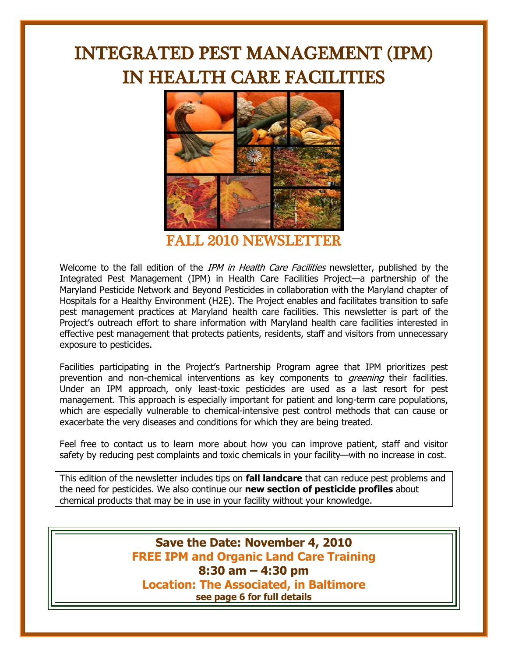# INTEGRATED PEST MANAGEMENT (IPM) IN HEALTH CARE FACILITIES



FALL 2010 NEWSLETTER

Welcome to the fall edition of the *IPM in Health Care Facilities* newsletter, published by the Integrated Pest Management (IPM) in Health Care Facilities Project—a partnership of the Maryland Pesticide Network and Beyond Pesticides in collaboration with the Maryland chapter of Hospitals for a Healthy Environment (H2E). The Project enables and facilitates transition to safe pest management practices at Maryland health care facilities. This newsletter is part of the Project's outreach effort to share information with Maryland health care facilities interested in effective pest management that protects patients, residents, staff and visitors from unnecessary exposure to pesticides.

Facilities participating in the Project's Partnership Program agree that IPM prioritizes pest prevention and non-chemical interventions as key components to *greening* their facilities. Under an IPM approach, only least-toxic pesticides are used as a last resort for pest management. This approach is especially important for patient and long-term care populations, which are especially vulnerable to chemical-intensive pest control methods that can cause or exacerbate the very diseases and conditions for which they are being treated.

Feel free to contact us to learn more about how you can improve patient, staff and visitor safety by reducing pest complaints and toxic chemicals in your facility—with no increase in cost.

This edition of the newsletter includes tips on **fall landcare** that can reduce pest problems and the need for pesticides. We also continue our **new section of pesticide profiles** about chemical products that may be in use in your facility without your knowledge.

> **Save the Date: November 4, 2010 FREE IPM and Organic Land Care Training 8:30 am – 4:30 pm Location: The Associated, in Baltimore see page 6 for full details**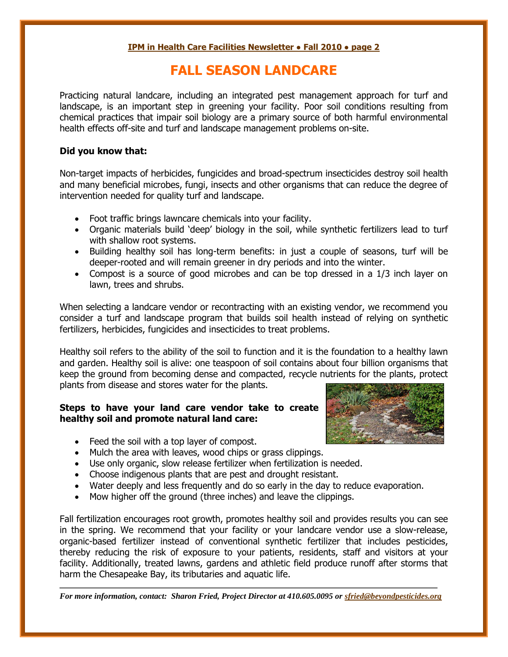## **FALL SEASON LANDCARE**

Practicing natural landcare, including an integrated pest management approach for turf and landscape, is an important step in greening your facility. Poor soil conditions resulting from chemical practices that impair soil biology are a primary source of both harmful environmental health effects off-site and turf and landscape management problems on-site.

#### **Did you know that:**

Non-target impacts of herbicides, fungicides and broad-spectrum insecticides destroy soil health and many beneficial microbes, fungi, insects and other organisms that can reduce the degree of intervention needed for quality turf and landscape.

- Foot traffic brings lawncare chemicals into your facility.
- Organic materials build 'deep' biology in the soil, while synthetic fertilizers lead to turf with shallow root systems.
- Building healthy soil has long-term benefits: in just a couple of seasons, turf will be deeper-rooted and will remain greener in dry periods and into the winter.
- Compost is a source of good microbes and can be top dressed in a 1/3 inch layer on lawn, trees and shrubs.

When selecting a landcare vendor or recontracting with an existing vendor, we recommend you consider a turf and landscape program that builds soil health instead of relying on synthetic fertilizers, herbicides, fungicides and insecticides to treat problems.

Healthy soil refers to the ability of the soil to function and it is the foundation to a healthy lawn and garden. Healthy soil is alive: one teaspoon of soil contains about four billion organisms that keep the ground from becoming dense and compacted, recycle nutrients for the plants, protect plants from disease and stores water for the plants.

#### **Steps to have your land care vendor take to create healthy soil and promote natural land care:**



- Feed the soil with a top layer of compost.
- Mulch the area with leaves, wood chips or grass clippings.
- Use only organic, slow release fertilizer when fertilization is needed.
- Choose indigenous plants that are pest and drought resistant.
- Water deeply and less frequently and do so early in the day to reduce evaporation.
- Mow higher off the ground (three inches) and leave the clippings.

Fall fertilization encourages root growth, promotes healthy soil and provides results you can see in the spring. We recommend that your facility or your landcare vendor use a slow-release, organic-based fertilizer instead of conventional synthetic fertilizer that includes pesticides, thereby reducing the risk of exposure to your patients, residents, staff and visitors at your facility. Additionally, treated lawns, gardens and athletic field produce runoff after storms that harm the Chesapeake Bay, its tributaries and aquatic life.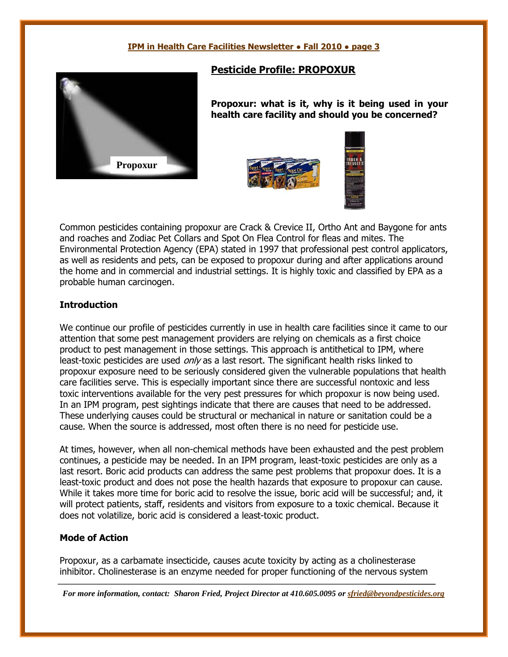

#### **Pesticide Profile: PROPOXUR**

**Propoxur: what is it, why is it being used in your health care facility and should you be concerned?**





Common pesticides containing propoxur are Crack & Crevice II, Ortho Ant and Baygone for ants and roaches and Zodiac Pet Collars and Spot On Flea Control for fleas and mites. The Environmental Protection Agency (EPA) stated in 1997 that professional pest control applicators, as well as residents and pets, can be exposed to propoxur during and after applications around the home and in commercial and industrial settings. It is highly toxic and classified by EPA as a probable human carcinogen.

#### **Introduction**

We continue our profile of pesticides currently in use in health care facilities since it came to our attention that some pest management providers are relying on chemicals as a first choice product to pest management in those settings. This approach is antithetical to IPM, where least-toxic pesticides are used only as a last resort. The significant health risks linked to propoxur exposure need to be seriously considered given the vulnerable populations that health care facilities serve. This is especially important since there are successful nontoxic and less toxic interventions available for the very pest pressures for which propoxur is now being used. In an IPM program, pest sightings indicate that there are causes that need to be addressed. These underlying causes could be structural or mechanical in nature or sanitation could be a cause. When the source is addressed, most often there is no need for pesticide use.

At times, however, when all non-chemical methods have been exhausted and the pest problem continues, a pesticide may be needed. In an IPM program, least-toxic pesticides are only as a last resort. Boric acid products can address the same pest problems that propoxur does. It is a least-toxic product and does not pose the health hazards that exposure to propoxur can cause. While it takes more time for boric acid to resolve the issue, boric acid will be successful; and, it will protect patients, staff, residents and visitors from exposure to a toxic chemical. Because it does not volatilize, boric acid is considered a least-toxic product.

#### **Mode of Action**

Propoxur, as a carbamate insecticide, causes acute toxicity by acting as a cholinesterase inhibitor. Cholinesterase is an enzyme needed for proper functioning of the nervous system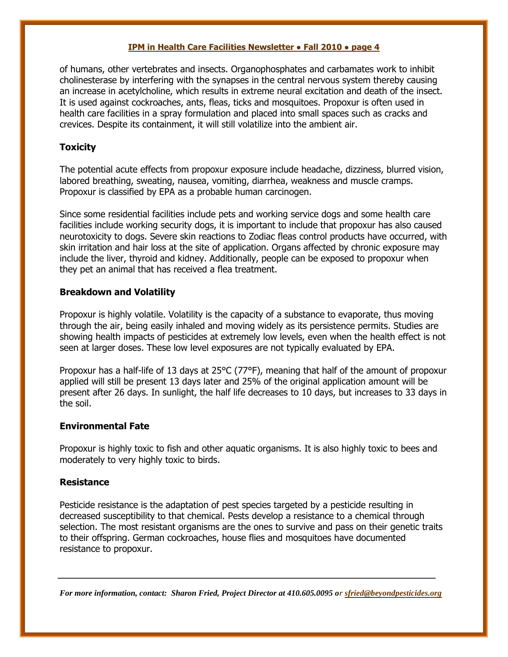of humans, other vertebrates and insects. Organophosphates and carbamates work to inhibit cholinesterase by interfering with the synapses in the central nervous system thereby causing an increase in acetylcholine, which results in extreme neural excitation and death of the insect. It is used against cockroaches, ants, fleas, ticks and mosquitoes. Propoxur is often used in health care facilities in a spray formulation and placed into small spaces such as cracks and crevices. Despite its containment, it will still volatilize into the ambient air.

#### **Toxicity**

The potential acute effects from propoxur exposure include headache, dizziness, blurred vision, labored breathing, sweating, nausea, vomiting, diarrhea, weakness and muscle cramps. Propoxur is classified by EPA as a probable human carcinogen.

Since some residential facilities include pets and working service dogs and some health care facilities include working security dogs, it is important to include that propoxur has also caused neurotoxicity to dogs. Severe skin reactions to Zodiac fleas control products have occurred, with skin irritation and hair loss at the site of application. Organs affected by chronic exposure may include the liver, thyroid and kidney. Additionally, people can be exposed to propoxur when they pet an animal that has received a flea treatment.

#### **Breakdown and Volatility**

Propoxur is highly volatile. Volatility is the capacity of a substance to evaporate, thus moving through the air, being easily inhaled and moving widely as its persistence permits. Studies are showing health impacts of pesticides at extremely low levels, even when the health effect is not seen at larger doses. These low level exposures are not typically evaluated by EPA.

Propoxur has a half-life of 13 days at 25°C (77°F), meaning that half of the amount of propoxur applied will still be present 13 days later and 25% of the original application amount will be present after 26 days. In sunlight, the half life decreases to 10 days, but increases to 33 days in the soil.

#### **Environmental Fate**

Propoxur is highly toxic to fish and other aquatic organisms. It is also highly toxic to bees and moderately to very highly toxic to birds.

#### **Resistance**

Pesticide resistance is the adaptation of pest species targeted by a pesticide resulting in decreased susceptibility to that chemical. Pests develop a resistance to a chemical through selection. The most resistant organisms are the ones to survive and pass on their genetic traits to their offspring. German cockroaches, house flies and mosquitoes have documented resistance to propoxur.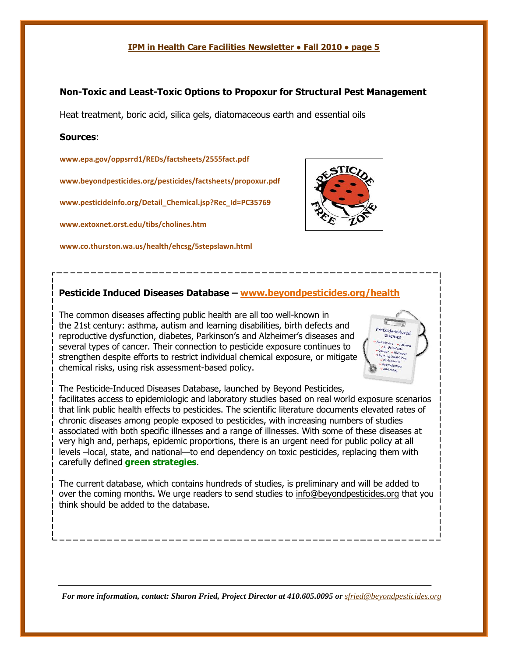#### **Non-Toxic and Least-Toxic Options to Propoxur for Structural Pest Management**

Heat treatment, boric acid, silica gels, diatomaceous earth and essential oils

#### **Sources**:

**[www.epa.gov/oppsrrd1/REDs/factsheets/2555fact.pdf](http://www.epa.gov/oppsrrd1/REDs/factsheets/2555fact.pdf)**

**[www.beyondpesticides.org/pesticides/factsheets/propoxur.pdf](http://www.beyondpesticides.org/pesticides/factsheets/propoxur.pdf)**

**[www.pesticideinfo.org/Detail\\_Chemical.jsp?Rec\\_Id=PC35769](http://www.pesticideinfo.org/Detail_Chemical.jsp?Rec_Id=PC35769)**

**www.extoxnet.orst.edu/tibs/cholines.htm** 

**www.co.thurston.wa.us/health/ehcsg/5stepslawn.html** 



#### **Pesticide Induced Diseases Database – www.beyondpesticides.org/health**

The common diseases affecting public health are all too well-known in the 21st century: asthma, autism and learning disabilities, birth defects and reproductive dysfunction, diabetes, Parkinson's and Alzheimer's diseases and several types of cancer. Their connection to pesticide exposure continues to strengthen despite efforts to restrict individual chemical exposure, or mitigate chemical risks, using risk assessment-based policy.



The Pesticide-Induced Diseases Database, launched by Beyond Pesticides, facilitates access to epidemiologic and laboratory studies based on real world exposure scenarios that link public health effects to pesticides. The scientific literature documents elevated rates of chronic diseases among people exposed to pesticides, with increasing numbers of studies associated with both specific illnesses and a range of illnesses. With some of these diseases at very high and, perhaps, epidemic proportions, there is an urgent need for public policy at all levels –local, state, and national—to end dependency on toxic pesticides, replacing them with carefully defined **green strategies**.

The current database, which contains hundreds of studies, is preliminary and will be added to over the coming months. We urge readers to send studies to info@beyondpesticides.org that you think should be added to the database.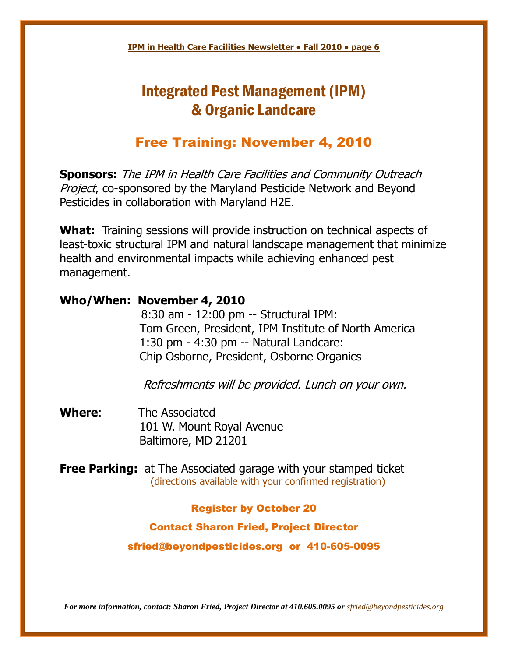## Integrated Pest Management (IPM) & Organic Landcare

## Free Training: November 4, 2010

**Sponsors:** The IPM in Health Care Facilities and Community Outreach Project, co-sponsored by the Maryland Pesticide Network and Beyond Pesticides in collaboration with Maryland H2E.

**What:** Training sessions will provide instruction on technical aspects of least-toxic structural IPM and natural landscape management that minimize health and environmental impacts while achieving enhanced pest management.

## **Who/When: November 4, 2010**

8:30 am - 12:00 pm -- Structural IPM: Tom Green, President, IPM Institute of North America 1:30 pm - 4:30 pm -- Natural Landcare: Chip Osborne, President, Osborne Organics

Refreshments will be provided. Lunch on your own.

**Where**: The Associated 101 W. Mount Royal Avenue Baltimore, MD 21201

**Free Parking:** at The Associated garage with your stamped ticket (directions available with your confirmed registration)

### Register by October 20

Contact Sharon Fried, Project Director

sfried@beyondpesticides.org or 410-605-0095